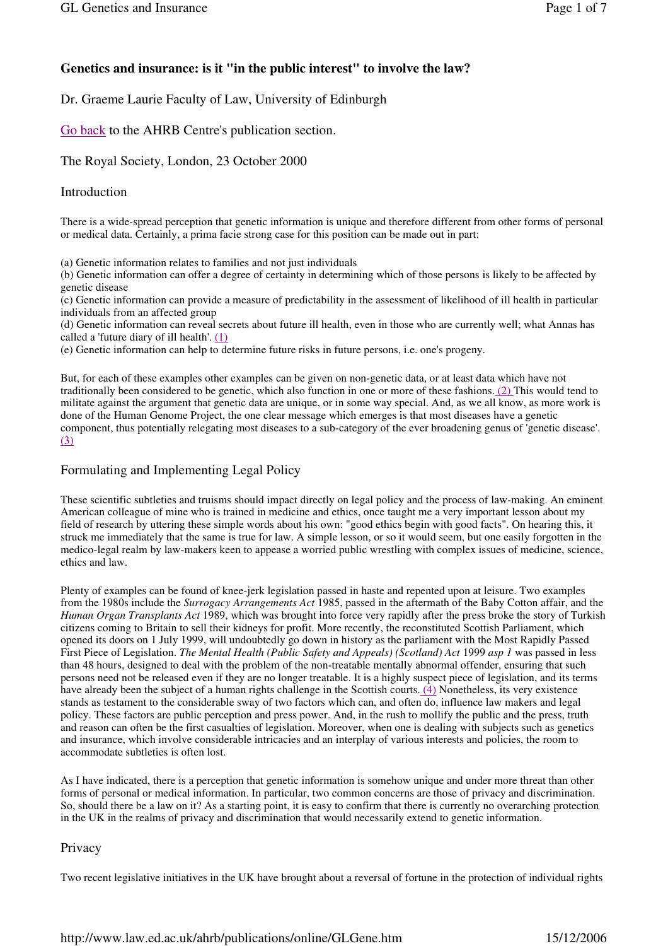# Genetics and insurance: is it "in the public interest" to involve the law?

Dr. Graeme Laurie Faculty of Law, University of Edinburgh

Go back to the AHRB Centre's publication section.

The Royal Society, London, 23 October 2000

Introduction

There is a wide-spread perception that genetic information is unique and therefore different from other forms of personal or medical data. Certainly, a prima facie strong case for this position can be made out in part:

(a) Genetic information relates to families and not just individuals

(b) Genetic information can offer a degree of certainty in determining which of those persons is likely to be affected by genetic disease

(c) Genetic information can provide a measure of predictability in the assessment of likelihood of ill health in particular individuals from an affected group

(d) Genetic information can reveal secrets about future ill health, even in those who are currently well; what Annas has called a 'future diary of ill health'. (1)

(e) Genetic information can help to determine future risks in future persons, i.e. one's progeny.

But, for each of these examples other examples can be given on non-genetic data, or at least data which have not traditionally been considered to be genetic, which also function in one or more of these fashions. (2) This would tend to militate against the argument that genetic data are unique, or in some way special. And, as we all know, as more work is done of the Human Genome Project, the one clear message which emerges is that most diseases have a genetic component, thus potentially relegating most diseases to a sub-category of the ever broadening genus of 'genetic disease'. (3)

## Formulating and Implementing Legal Policy

These scientific subtleties and truisms should impact directly on legal policy and the process of law-making. An eminent American colleague of mine who is trained in medicine and ethics, once taught me a very important lesson about my field of research by uttering these simple words about his own: "good ethics begin with good facts". On hearing this, it struck me immediately that the same is true for law. A simple lesson, or so it would seem, but one easily forgotten in the medico-legal realm by law-makers keen to appease a worried public wrestling with complex issues of medicine, science, ethics and law.

Plenty of examples can be found of knee-jerk legislation passed in haste and repented upon at leisure. Two examples from the 1980s include the Surrogacy Arrangements Act 1985, passed in the aftermath of the Baby Cotton affair, and the Human Organ Transplants Act 1989, which was brought into force very rapidly after the press broke the story of Turkish citizens coming to Britain to sell their kidneys for profit. More recently, the reconstituted Scottish Parliament, which opened its doors on 1 July 1999, will undoubtedly go down in history as the parliament with the Most Rapidly Passed First Piece of Legislation. The Mental Health (Public Safety and Appeals) (Scotland) Act 1999 asp 1 was passed in less than 48 hours, designed to deal with the problem of the non-treatable mentally abnormal offender, ensuring that such persons need not be released even if they are no longer treatable. It is a highly suspect piece of legislation, and its terms have already been the subject of a human rights challenge in the Scottish courts. (4) Nonetheless, its very existence stands as testament to the considerable sway of two factors which can, and often do, influence law makers and legal policy. These factors are public perception and press power. And, in the rush to mollify the public and the press, truth and reason can often be the first casualties of legislation. Moreover, when one is dealing with subjects such as genetics and insurance, which involve considerable intricacies and an interplay of various interests and policies, the room to accommodate subtleties is often lost.

As I have indicated, there is a perception that genetic information is somehow unique and under more threat than other forms of personal or medical information. In particular, two common concerns are those of privacy and discrimination. So, should there be a law on it? As a starting point, it is easy to confirm that there is currently no overarching protection in the UK in the realms of privacy and discrimination that would necessarily extend to genetic information.

### Privacy

Two recent legislative initiatives in the UK have brought about a reversal of fortune in the protection of individual rights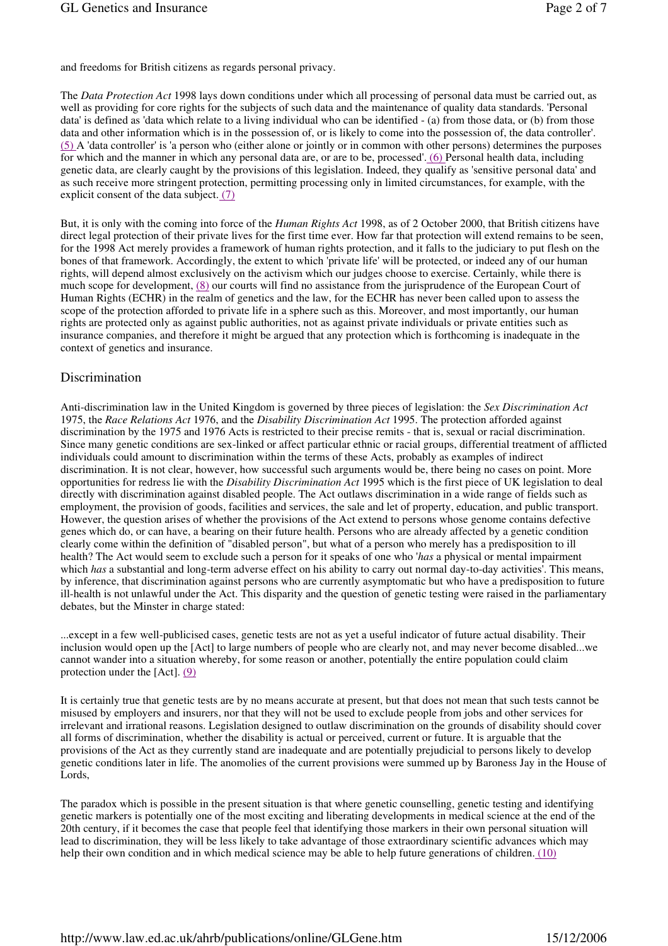and freedoms for British citizens as regards personal privacy.

The Data Protection Act 1998 lays down conditions under which all processing of personal data must be carried out, as well as providing for core rights for the subjects of such data and the maintenance of quality data standards. 'Personal data' is defined as 'data which relate to a living individual who can be identified - (a) from those data, or (b) from those data and other information which is in the possession of, or is likely to come into the possession of, the data controller'. (5) A 'data controller' is 'a person who (either alone or jointly or in common with other persons) determines the purposes for which and the manner in which any personal data are, or are to be, processed'. (6) Personal health data, including genetic data, are clearly caught by the provisions of this legislation. Indeed, they qualify as 'sensitive personal data' and as such receive more stringent protection, permitting processing only in limited circumstances, for example, with the explicit consent of the data subject. (7)

But, it is only with the coming into force of the Human Rights Act 1998, as of 2 October 2000, that British citizens have direct legal protection of their private lives for the first time ever. How far that protection will extend remains to be seen, for the 1998 Act merely provides a framework of human rights protection, and it falls to the judiciary to put flesh on the bones of that framework. Accordingly, the extent to which 'private life' will be protected, or indeed any of our human rights, will depend almost exclusively on the activism which our judges choose to exercise. Certainly, while there is much scope for development, (8) our courts will find no assistance from the jurisprudence of the European Court of Human Rights (ECHR) in the realm of genetics and the law, for the ECHR has never been called upon to assess the scope of the protection afforded to private life in a sphere such as this. Moreover, and most importantly, our human rights are protected only as against public authorities, not as against private individuals or private entities such as insurance companies, and therefore it might be argued that any protection which is forthcoming is inadequate in the context of genetics and insurance.

#### Discrimination

Anti-discrimination law in the United Kingdom is governed by three pieces of legislation: the Sex Discrimination Act 1975, the Race Relations Act 1976, and the Disability Discrimination Act 1995. The protection afforded against discrimination by the 1975 and 1976 Acts is restricted to their precise remits - that is, sexual or racial discrimination. Since many genetic conditions are sex-linked or affect particular ethnic or racial groups, differential treatment of afflicted individuals could amount to discrimination within the terms of these Acts, probably as examples of indirect discrimination. It is not clear, however, how successful such arguments would be, there being no cases on point. More opportunities for redress lie with the Disability Discrimination Act 1995 which is the first piece of UK legislation to deal directly with discrimination against disabled people. The Act outlaws discrimination in a wide range of fields such as employment, the provision of goods, facilities and services, the sale and let of property, education, and public transport. However, the question arises of whether the provisions of the Act extend to persons whose genome contains defective genes which do, or can have, a bearing on their future health. Persons who are already affected by a genetic condition clearly come within the definition of "disabled person", but what of a person who merely has a predisposition to ill health? The Act would seem to exclude such a person for it speaks of one who 'has a physical or mental impairment which has a substantial and long-term adverse effect on his ability to carry out normal day-to-day activities'. This means, by inference, that discrimination against persons who are currently asymptomatic but who have a predisposition to future ill-health is not unlawful under the Act. This disparity and the question of genetic testing were raised in the parliamentary debates, but the Minster in charge stated:

...except in a few well-publicised cases, genetic tests are not as yet a useful indicator of future actual disability. Their inclusion would open up the [Act] to large numbers of people who are clearly not, and may never become disabled...we cannot wander into a situation whereby, for some reason or another, potentially the entire population could claim protection under the [Act]. (9)

It is certainly true that genetic tests are by no means accurate at present, but that does not mean that such tests cannot be misused by employers and insurers, nor that they will not be used to exclude people from jobs and other services for irrelevant and irrational reasons. Legislation designed to outlaw discrimination on the grounds of disability should cover all forms of discrimination, whether the disability is actual or perceived, current or future. It is arguable that the provisions of the Act as they currently stand are inadequate and are potentially prejudicial to persons likely to develop genetic conditions later in life. The anomolies of the current provisions were summed up by Baroness Jay in the House of Lords,

The paradox which is possible in the present situation is that where genetic counselling, genetic testing and identifying genetic markers is potentially one of the most exciting and liberating developments in medical science at the end of the 20th century, if it becomes the case that people feel that identifying those markers in their own personal situation will lead to discrimination, they will be less likely to take advantage of those extraordinary scientific advances which may help their own condition and in which medical science may be able to help future generations of children. (10)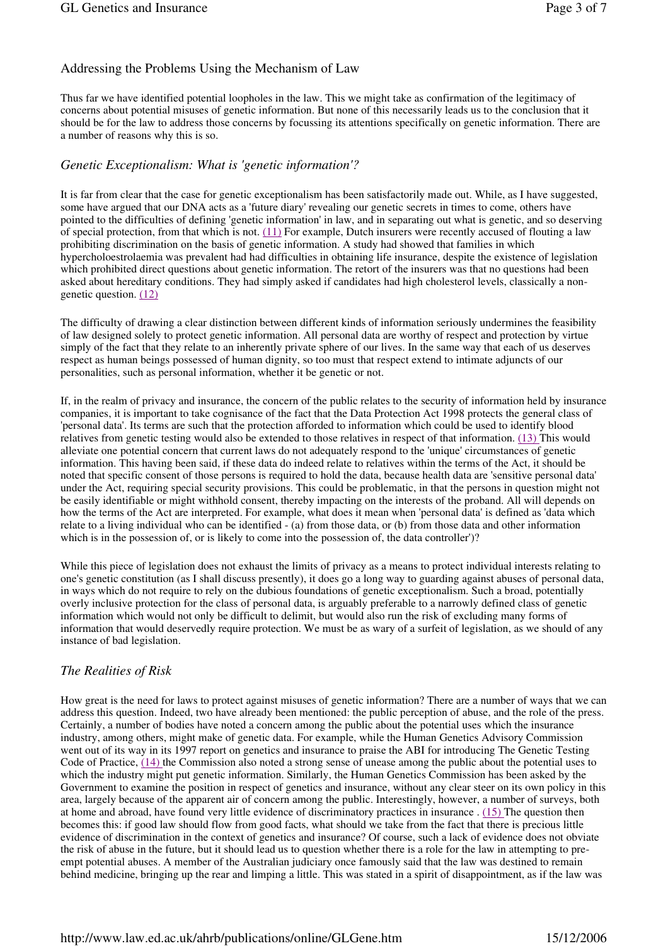## Addressing the Problems Using the Mechanism of Law

Thus far we have identified potential loopholes in the law. This we might take as confirmation of the legitimacy of concerns about potential misuses of genetic information. But none of this necessarily leads us to the conclusion that it should be for the law to address those concerns by focussing its attentions specifically on genetic information. There are a number of reasons why this is so.

### Genetic Exceptionalism: What is 'genetic information'?

It is far from clear that the case for genetic exceptionalism has been satisfactorily made out. While, as I have suggested, some have argued that our DNA acts as a 'future diary' revealing our genetic secrets in times to come, others have pointed to the difficulties of defining 'genetic information' in law, and in separating out what is genetic, and so deserving of special protection, from that which is not.  $(11)$  For example, Dutch insurers were recently accused of flouting a law prohibiting discrimination on the basis of genetic information. A study had showed that families in which hypercholoestrolaemia was prevalent had had difficulties in obtaining life insurance, despite the existence of legislation which prohibited direct questions about genetic information. The retort of the insurers was that no questions had been asked about hereditary conditions. They had simply asked if candidates had high cholesterol levels, classically a nongenetic question. (12)

The difficulty of drawing a clear distinction between different kinds of information seriously undermines the feasibility of law designed solely to protect genetic information. All personal data are worthy of respect and protection by virtue simply of the fact that they relate to an inherently private sphere of our lives. In the same way that each of us deserves respect as human beings possessed of human dignity, so too must that respect extend to intimate adjuncts of our personalities, such as personal information, whether it be genetic or not.

If, in the realm of privacy and insurance, the concern of the public relates to the security of information held by insurance companies, it is important to take cognisance of the fact that the Data Protection Act 1998 protects the general class of 'personal data'. Its terms are such that the protection afforded to information which could be used to identify blood relatives from genetic testing would also be extended to those relatives in respect of that information. (13) This would alleviate one potential concern that current laws do not adequately respond to the 'unique' circumstances of genetic information. This having been said, if these data do indeed relate to relatives within the terms of the Act, it should be noted that specific consent of those persons is required to hold the data, because health data are 'sensitive personal data' under the Act, requiring special security provisions. This could be problematic, in that the persons in question might not be easily identifiable or might withhold consent, thereby impacting on the interests of the proband. All will depends on how the terms of the Act are interpreted. For example, what does it mean when 'personal data' is defined as 'data which relate to a living individual who can be identified - (a) from those data, or (b) from those data and other information which is in the possession of, or is likely to come into the possession of, the data controller')?

While this piece of legislation does not exhaust the limits of privacy as a means to protect individual interests relating to one's genetic constitution (as I shall discuss presently), it does go a long way to guarding against abuses of personal data, in ways which do not require to rely on the dubious foundations of genetic exceptionalism. Such a broad, potentially overly inclusive protection for the class of personal data, is arguably preferable to a narrowly defined class of genetic information which would not only be difficult to delimit, but would also run the risk of excluding many forms of information that would deservedly require protection. We must be as wary of a surfeit of legislation, as we should of any instance of bad legislation.

## The Realities of Risk

How great is the need for laws to protect against misuses of genetic information? There are a number of ways that we can address this question. Indeed, two have already been mentioned: the public perception of abuse, and the role of the press. Certainly, a number of bodies have noted a concern among the public about the potential uses which the insurance industry, among others, might make of genetic data. For example, while the Human Genetics Advisory Commission went out of its way in its 1997 report on genetics and insurance to praise the ABI for introducing The Genetic Testing Code of Practice, (14) the Commission also noted a strong sense of unease among the public about the potential uses to which the industry might put genetic information. Similarly, the Human Genetics Commission has been asked by the Government to examine the position in respect of genetics and insurance, without any clear steer on its own policy in this area, largely because of the apparent air of concern among the public. Interestingly, however, a number of surveys, both at home and abroad, have found very little evidence of discriminatory practices in insurance . (15) The question then becomes this: if good law should flow from good facts, what should we take from the fact that there is precious little evidence of discrimination in the context of genetics and insurance? Of course, such a lack of evidence does not obviate the risk of abuse in the future, but it should lead us to question whether there is a role for the law in attempting to preempt potential abuses. A member of the Australian judiciary once famously said that the law was destined to remain behind medicine, bringing up the rear and limping a little. This was stated in a spirit of disappointment, as if the law was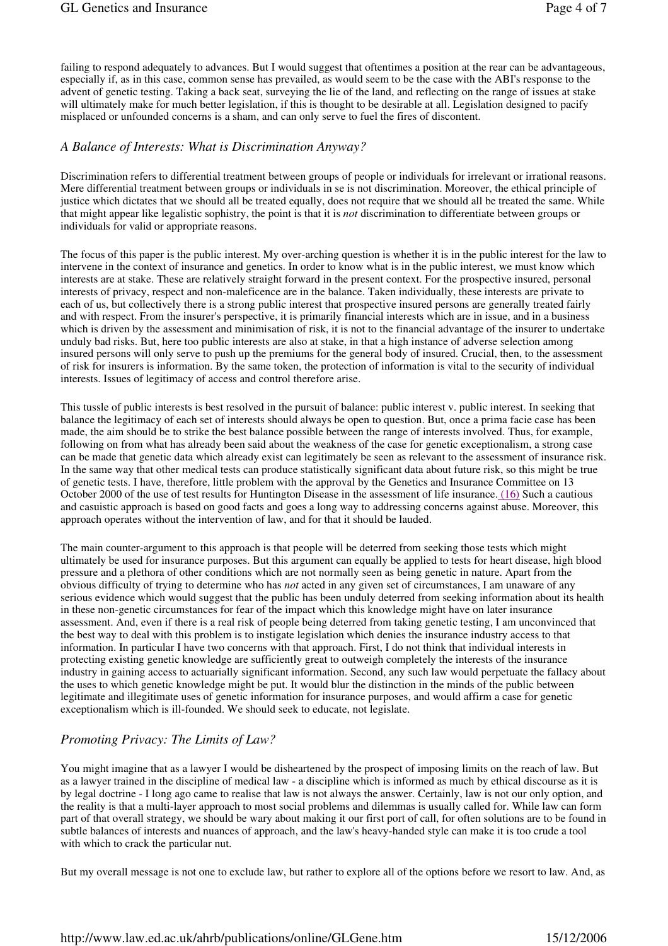failing to respond adequately to advances. But I would suggest that oftentimes a position at the rear can be advantageous, especially if, as in this case, common sense has prevailed, as would seem to be the case with the ABI's response to the advent of genetic testing. Taking a back seat, surveying the lie of the land, and reflecting on the range of issues at stake will ultimately make for much better legislation, if this is thought to be desirable at all. Legislation designed to pacify misplaced or unfounded concerns is a sham, and can only serve to fuel the fires of discontent.

#### A Balance of Interests: What is Discrimination Anyway?

Discrimination refers to differential treatment between groups of people or individuals for irrelevant or irrational reasons. Mere differential treatment between groups or individuals in se is not discrimination. Moreover, the ethical principle of justice which dictates that we should all be treated equally, does not require that we should all be treated the same. While that might appear like legalistic sophistry, the point is that it is not discrimination to differentiate between groups or individuals for valid or appropriate reasons.

The focus of this paper is the public interest. My over-arching question is whether it is in the public interest for the law to intervene in the context of insurance and genetics. In order to know what is in the public interest, we must know which interests are at stake. These are relatively straight forward in the present context. For the prospective insured, personal interests of privacy, respect and non-maleficence are in the balance. Taken individually, these interests are private to each of us, but collectively there is a strong public interest that prospective insured persons are generally treated fairly and with respect. From the insurer's perspective, it is primarily financial interests which are in issue, and in a business which is driven by the assessment and minimisation of risk, it is not to the financial advantage of the insurer to undertake unduly bad risks. But, here too public interests are also at stake, in that a high instance of adverse selection among insured persons will only serve to push up the premiums for the general body of insured. Crucial, then, to the assessment of risk for insurers is information. By the same token, the protection of information is vital to the security of individual interests. Issues of legitimacy of access and control therefore arise.

This tussle of public interests is best resolved in the pursuit of balance: public interest v. public interest. In seeking that balance the legitimacy of each set of interests should always be open to question. But, once a prima facie case has been made, the aim should be to strike the best balance possible between the range of interests involved. Thus, for example, following on from what has already been said about the weakness of the case for genetic exceptionalism, a strong case can be made that genetic data which already exist can legitimately be seen as relevant to the assessment of insurance risk. In the same way that other medical tests can produce statistically significant data about future risk, so this might be true of genetic tests. I have, therefore, little problem with the approval by the Genetics and Insurance Committee on 13 October 2000 of the use of test results for Huntington Disease in the assessment of life insurance. (16) Such a cautious and casuistic approach is based on good facts and goes a long way to addressing concerns against abuse. Moreover, this approach operates without the intervention of law, and for that it should be lauded.

The main counter-argument to this approach is that people will be deterred from seeking those tests which might ultimately be used for insurance purposes. But this argument can equally be applied to tests for heart disease, high blood pressure and a plethora of other conditions which are not normally seen as being genetic in nature. Apart from the obvious difficulty of trying to determine who has not acted in any given set of circumstances, I am unaware of any serious evidence which would suggest that the public has been unduly deterred from seeking information about its health in these non-genetic circumstances for fear of the impact which this knowledge might have on later insurance assessment. And, even if there is a real risk of people being deterred from taking genetic testing, I am unconvinced that the best way to deal with this problem is to instigate legislation which denies the insurance industry access to that information. In particular I have two concerns with that approach. First, I do not think that individual interests in protecting existing genetic knowledge are sufficiently great to outweigh completely the interests of the insurance industry in gaining access to actuarially significant information. Second, any such law would perpetuate the fallacy about the uses to which genetic knowledge might be put. It would blur the distinction in the minds of the public between legitimate and illegitimate uses of genetic information for insurance purposes, and would affirm a case for genetic exceptionalism which is ill-founded. We should seek to educate, not legislate.

### Promoting Privacy: The Limits of Law?

You might imagine that as a lawyer I would be disheartened by the prospect of imposing limits on the reach of law. But as a lawyer trained in the discipline of medical law - a discipline which is informed as much by ethical discourse as it is by legal doctrine - I long ago came to realise that law is not always the answer. Certainly, law is not our only option, and the reality is that a multi-layer approach to most social problems and dilemmas is usually called for. While law can form part of that overall strategy, we should be wary about making it our first port of call, for often solutions are to be found in subtle balances of interests and nuances of approach, and the law's heavy-handed style can make it is too crude a tool with which to crack the particular nut.

But my overall message is not one to exclude law, but rather to explore all of the options before we resort to law. And, as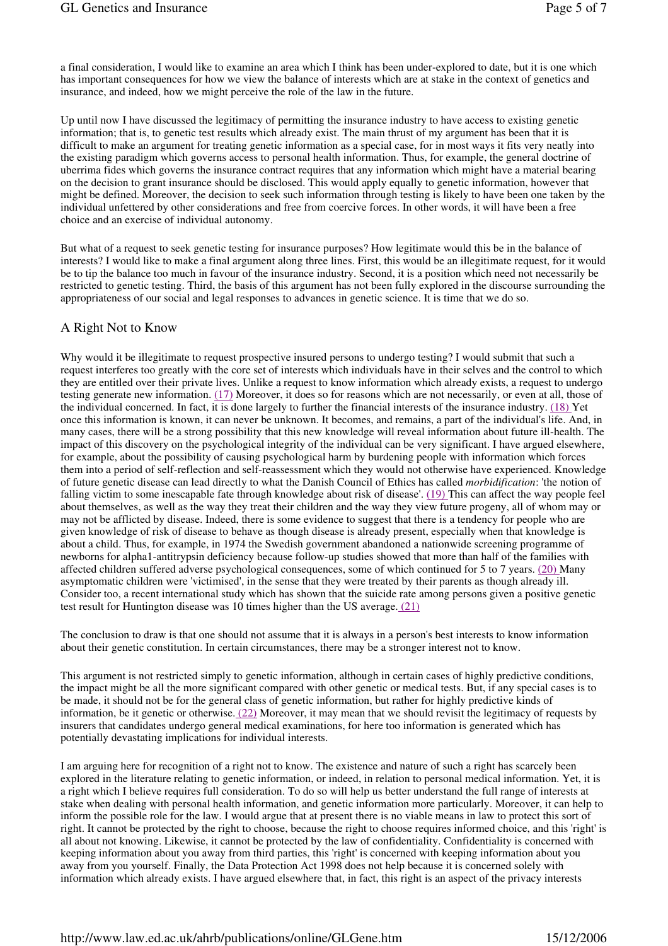a final consideration, I would like to examine an area which I think has been under-explored to date, but it is one which has important consequences for how we view the balance of interests which are at stake in the context of genetics and insurance, and indeed, how we might perceive the role of the law in the future.

Up until now I have discussed the legitimacy of permitting the insurance industry to have access to existing genetic information; that is, to genetic test results which already exist. The main thrust of my argument has been that it is difficult to make an argument for treating genetic information as a special case, for in most ways it fits very neatly into the existing paradigm which governs access to personal health information. Thus, for example, the general doctrine of uberrima fides which governs the insurance contract requires that any information which might have a material bearing on the decision to grant insurance should be disclosed. This would apply equally to genetic information, however that might be defined. Moreover, the decision to seek such information through testing is likely to have been one taken by the individual unfettered by other considerations and free from coercive forces. In other words, it will have been a free choice and an exercise of individual autonomy.

But what of a request to seek genetic testing for insurance purposes? How legitimate would this be in the balance of interests? I would like to make a final argument along three lines. First, this would be an illegitimate request, for it would be to tip the balance too much in favour of the insurance industry. Second, it is a position which need not necessarily be restricted to genetic testing. Third, the basis of this argument has not been fully explored in the discourse surrounding the appropriateness of our social and legal responses to advances in genetic science. It is time that we do so.

#### A Right Not to Know

Why would it be illegitimate to request prospective insured persons to undergo testing? I would submit that such a request interferes too greatly with the core set of interests which individuals have in their selves and the control to which they are entitled over their private lives. Unlike a request to know information which already exists, a request to undergo testing generate new information. (17) Moreover, it does so for reasons which are not necessarily, or even at all, those of the individual concerned. In fact, it is done largely to further the financial interests of the insurance industry. (18) Yet once this information is known, it can never be unknown. It becomes, and remains, a part of the individual's life. And, in many cases, there will be a strong possibility that this new knowledge will reveal information about future ill-health. The impact of this discovery on the psychological integrity of the individual can be very significant. I have argued elsewhere, for example, about the possibility of causing psychological harm by burdening people with information which forces them into a period of self-reflection and self-reassessment which they would not otherwise have experienced. Knowledge of future genetic disease can lead directly to what the Danish Council of Ethics has called morbidification: 'the notion of falling victim to some inescapable fate through knowledge about risk of disease'. (19) This can affect the way people feel about themselves, as well as the way they treat their children and the way they view future progeny, all of whom may or may not be afflicted by disease. Indeed, there is some evidence to suggest that there is a tendency for people who are given knowledge of risk of disease to behave as though disease is already present, especially when that knowledge is about a child. Thus, for example, in 1974 the Swedish government abandoned a nationwide screening programme of newborns for alpha1-antitrypsin deficiency because follow-up studies showed that more than half of the families with affected children suffered adverse psychological consequences, some of which continued for 5 to 7 years. (20) Many asymptomatic children were 'victimised', in the sense that they were treated by their parents as though already ill. Consider too, a recent international study which has shown that the suicide rate among persons given a positive genetic test result for Huntington disease was 10 times higher than the US average. (21)

The conclusion to draw is that one should not assume that it is always in a person's best interests to know information about their genetic constitution. In certain circumstances, there may be a stronger interest not to know.

This argument is not restricted simply to genetic information, although in certain cases of highly predictive conditions, the impact might be all the more significant compared with other genetic or medical tests. But, if any special cases is to be made, it should not be for the general class of genetic information, but rather for highly predictive kinds of information, be it genetic or otherwise. (22) Moreover, it may mean that we should revisit the legitimacy of requests by insurers that candidates undergo general medical examinations, for here too information is generated which has potentially devastating implications for individual interests.

I am arguing here for recognition of a right not to know. The existence and nature of such a right has scarcely been explored in the literature relating to genetic information, or indeed, in relation to personal medical information. Yet, it is a right which I believe requires full consideration. To do so will help us better understand the full range of interests at stake when dealing with personal health information, and genetic information more particularly. Moreover, it can help to inform the possible role for the law. I would argue that at present there is no viable means in law to protect this sort of right. It cannot be protected by the right to choose, because the right to choose requires informed choice, and this 'right' is all about not knowing. Likewise, it cannot be protected by the law of confidentiality. Confidentiality is concerned with keeping information about you away from third parties, this 'right' is concerned with keeping information about you away from you yourself. Finally, the Data Protection Act 1998 does not help because it is concerned solely with information which already exists. I have argued elsewhere that, in fact, this right is an aspect of the privacy interests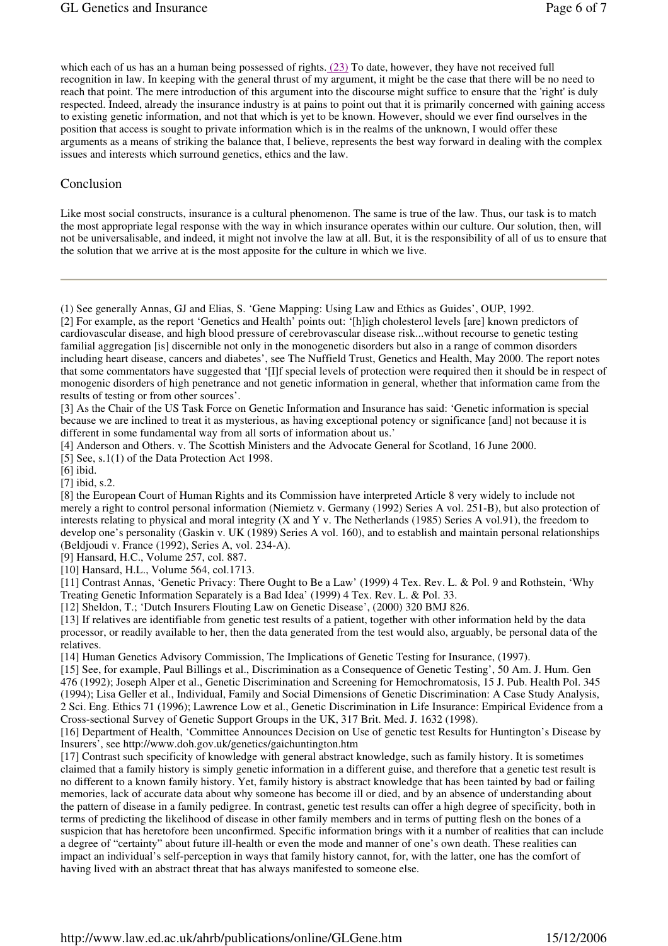which each of us has an a human being possessed of rights. (23) To date, however, they have not received full recognition in law. In keeping with the general thrust of my argument, it might be the case that there will be no need to reach that point. The mere introduction of this argument into the discourse might suffice to ensure that the 'right' is duly respected. Indeed, already the insurance industry is at pains to point out that it is primarily concerned with gaining access to existing genetic information, and not that which is yet to be known. However, should we ever find ourselves in the position that access is sought to private information which is in the realms of the unknown, I would offer these arguments as a means of striking the balance that, I believe, represents the best way forward in dealing with the complex issues and interests which surround genetics, ethics and the law.

#### Conclusion

Like most social constructs, insurance is a cultural phenomenon. The same is true of the law. Thus, our task is to match the most appropriate legal response with the way in which insurance operates within our culture. Our solution, then, will not be universalisable, and indeed, it might not involve the law at all. But, it is the responsibility of all of us to ensure that the solution that we arrive at is the most apposite for the culture in which we live.

[2] For example, as the report 'Genetics and Health' points out: '[h]igh cholesterol levels [are] known predictors of cardiovascular disease, and high blood pressure of cerebrovascular disease risk...without recourse to genetic testing familial aggregation [is] discernible not only in the monogenetic disorders but also in a range of common disorders including heart disease, cancers and diabetes', see The Nuffield Trust, Genetics and Health, May 2000. The report notes that some commentators have suggested that '[I]f special levels of protection were required then it should be in respect of monogenic disorders of high penetrance and not genetic information in general, whether that information came from the results of testing or from other sources'.

[3] As the Chair of the US Task Force on Genetic Information and Insurance has said: 'Genetic information is special because we are inclined to treat it as mysterious, as having exceptional potency or significance [and] not because it is different in some fundamental way from all sorts of information about us.'

[4] Anderson and Others. v. The Scottish Ministers and the Advocate General for Scotland, 16 June 2000.

[5] See, s.1(1) of the Data Protection Act 1998.

 $[6]$  ibid.

[7] ibid, s.2.

[8] the European Court of Human Rights and its Commission have interpreted Article 8 very widely to include not merely a right to control personal information (Niemietz v. Germany (1992) Series A vol. 251-B), but also protection of interests relating to physical and moral integrity (X and Y v. The Netherlands (1985) Series A vol.91), the freedom to develop one's personality (Gaskin v. UK (1989) Series A vol. 160), and to establish and maintain personal relationships (Beldjoudi v. France (1992), Series A, vol. 234-A).

[9] Hansard, H.C., Volume 257, col. 887.

[10] Hansard, H.L., Volume 564, col.1713.

[11] Contrast Annas, 'Genetic Privacy: There Ought to Be a Law' (1999) 4 Tex. Rev. L. & Pol. 9 and Rothstein, 'Why Treating Genetic Information Separately is a Bad Idea' (1999) 4 Tex. Rev. L. & Pol. 33.

[12] Sheldon, T.; 'Dutch Insurers Flouting Law on Genetic Disease', (2000) 320 BMJ 826.

[13] If relatives are identifiable from genetic test results of a patient, together with other information held by the data processor, or readily available to her, then the data generated from the test would also, arguably, be personal data of the relatives.

[14] Human Genetics Advisory Commission, The Implications of Genetic Testing for Insurance, (1997).

[15] See, for example, Paul Billings et al., Discrimination as a Consequence of Genetic Testing', 50 Am. J. Hum. Gen 476 (1992); Joseph Alper et al., Genetic Discrimination and Screening for Hemochromatosis, 15 J. Pub. Health Pol. 345 (1994); Lisa Geller et al., Individual, Family and Social Dimensions of Genetic Discrimination: A Case Study Analysis, 2 Sci. Eng. Ethics 71 (1996); Lawrence Low et al., Genetic Discrimination in Life Insurance: Empirical Evidence from a Cross-sectional Survey of Genetic Support Groups in the UK, 317 Brit. Med. J. 1632 (1998).

[16] Department of Health, 'Committee Announces Decision on Use of genetic test Results for Huntington's Disease by Insurers', see http://www.doh.gov.uk/genetics/gaichuntington.htm

[17] Contrast such specificity of knowledge with general abstract knowledge, such as family history. It is sometimes claimed that a family history is simply genetic information in a different guise, and therefore that a genetic test result is no different to a known family history. Yet, family history is abstract knowledge that has been tainted by bad or failing memories, lack of accurate data about why someone has become ill or died, and by an absence of understanding about the pattern of disease in a family pedigree. In contrast, genetic test results can offer a high degree of specificity, both in terms of predicting the likelihood of disease in other family members and in terms of putting flesh on the bones of a suspicion that has heretofore been unconfirmed. Specific information brings with it a number of realities that can include a degree of "certainty" about future ill-health or even the mode and manner of one's own death. These realities can impact an individual's self-perception in ways that family history cannot, for, with the latter, one has the comfort of having lived with an abstract threat that has always manifested to someone else.

<sup>(1)</sup> See generally Annas, GJ and Elias, S. 'Gene Mapping: Using Law and Ethics as Guides', OUP, 1992.